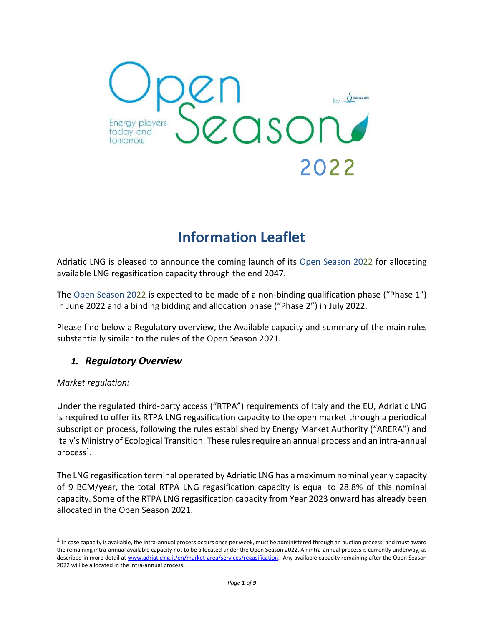

# **Information Leaflet**

Adriatic LNG is pleased to announce the coming launch of its Open Season 2022 for allocating available LNG regasification capacity through the end 2047.

The Open Season 2022 is expected to be made of a non-binding qualification phase ("Phase 1") in June 2022 and a binding bidding and allocation phase ("Phase 2") in July 2022.

Please find below a Regulatory overview, the Available capacity and summary of the main rules substantially similar to the rules of the Open Season 2021.

# *1. Regulatory Overview*

#### *Market regulation:*

Under the regulated third-party access ("RTPA") requirements of Italy and the EU, Adriatic LNG is required to offer its RTPA LNG regasification capacity to the open market through a periodical subscription process, following the rules established by Energy Market Authority ("ARERA") and Italy's Ministry of Ecological Transition. These rules require an annual process and an intra-annual process $^1$ .

The LNG regasification terminal operated by Adriatic LNG has a maximum nominal yearly capacity of 9 BCM/year, the total RTPA LNG regasification capacity is equal to 28.8% of this nominal capacity. Some of the RTPA LNG regasification capacity from Year 2023 onward has already been allocated in the Open Season 2021.

 $1$  In case capacity is available, the intra-annual process occurs once per week, must be administered through an auction process, and must award the remaining intra-annual available capacity not to be allocated under the Open Season 2022. An intra-annual process is currently underway, as described in more detail at [www.adriaticlng.it/en/market-area/services/regasification.](http://www.adriaticlng.it/en/market-area/services/regasification) Any available capacity remaining after the Open Season 2022 will be allocated in the intra-annual process.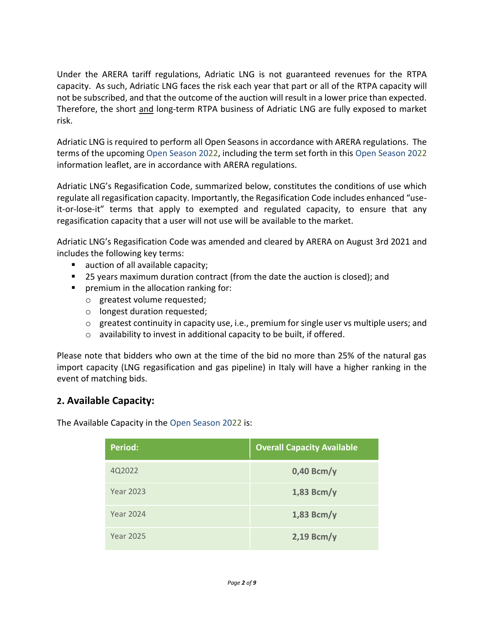Under the ARERA tariff regulations, Adriatic LNG is not guaranteed revenues for the RTPA capacity. As such, Adriatic LNG faces the risk each year that part or all of the RTPA capacity will not be subscribed, and that the outcome of the auction will result in a lower price than expected. Therefore, the short and long-term RTPA business of Adriatic LNG are fully exposed to market risk.

Adriatic LNG is required to perform all Open Seasons in accordance with ARERA regulations. The terms of the upcoming Open Season 2022, including the term set forth in this Open Season 2022 information leaflet, are in accordance with ARERA regulations.

Adriatic LNG's Regasification Code, summarized below, constitutes the conditions of use which regulate all regasification capacity. Importantly, the Regasification Code includes enhanced "useit-or-lose-it" terms that apply to exempted and regulated capacity, to ensure that any regasification capacity that a user will not use will be available to the market.

Adriatic LNG's Regasification Code was amended and cleared by ARERA on August 3rd 2021 and includes the following key terms:

- auction of all available capacity;
- 25 years maximum duration contract (from the date the auction is closed); and
- **•** premium in the allocation ranking for:
	- o greatest volume requested;
	- o longest duration requested;
	- $\circ$  greatest continuity in capacity use, i.e., premium for single user vs multiple users; and
	- o availability to invest in additional capacity to be built, if offered.

Please note that bidders who own at the time of the bid no more than 25% of the natural gas import capacity (LNG regasification and gas pipeline) in Italy will have a higher ranking in the event of matching bids.

# **2. Available Capacity:**

The Available Capacity in the Open Season 2022 is:

| <b>Period:</b>   | <b>Overall Capacity Available</b> |
|------------------|-----------------------------------|
| 4Q2022           | $0,40$ Bcm/y                      |
| <b>Year 2023</b> | $1,83$ Bcm/y                      |
| <b>Year 2024</b> | $1,83$ Bcm/y                      |
| <b>Year 2025</b> | $2,19$ Bcm/y                      |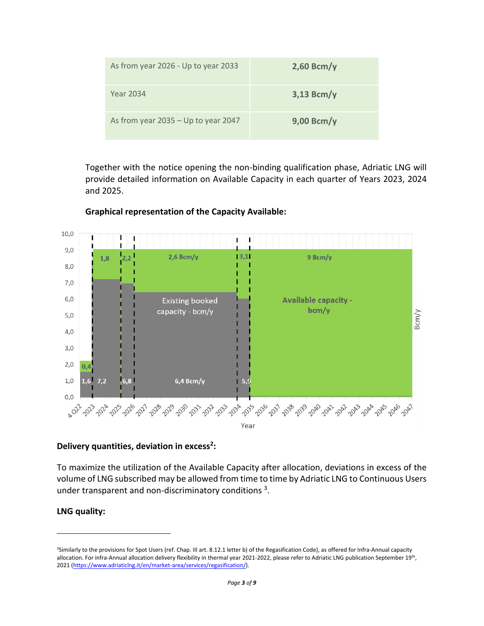| As from year 2026 - Up to year 2033   | $2,60$ Bcm/y |
|---------------------------------------|--------------|
| <b>Year 2034</b>                      | $3,13$ Bcm/y |
| As from year $2035 - Up$ to year 2047 | $9,00$ Bcm/y |

Together with the notice opening the non-binding qualification phase, Adriatic LNG will provide detailed information on Available Capacity in each quarter of Years 2023, 2024 and 2025.



#### **Graphical representation of the Capacity Available:**

#### **Delivery quantities, deviation in excess<sup>2</sup> :**

To maximize the utilization of the Available Capacity after allocation, deviations in excess of the volume of LNG subscribed may be allowed from time to time by Adriatic LNG to Continuous Users under transparent and non-discriminatory conditions  $3$ .

#### **LNG quality:**

<sup>3</sup>Similarly to the provisions for Spot Users (ref. Chap. III art. 8.12.1 letter b) of the Regasification Code), as offered for Infra-Annual capacity allocation. For infra-Annual allocation delivery flexibility in thermal year 2021-2022, please refer to Adriatic LNG publication September 19<sup>th</sup>, 2021 [\(https://www.adriaticlng.it/en/market-area/services/regasification/\)](https://www.adriaticlng.it/en/market-area/services/regasification/).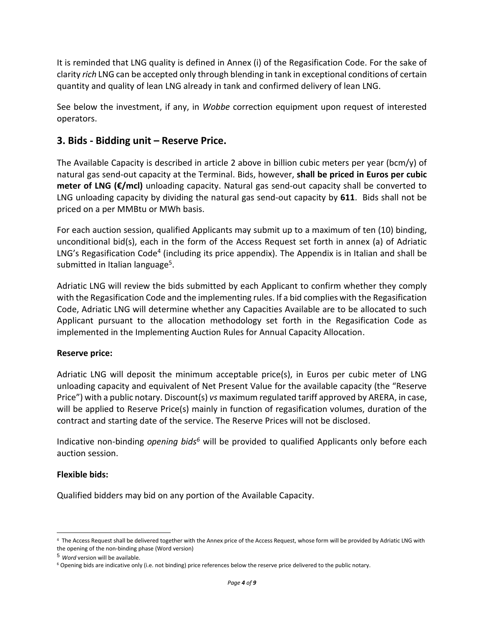It is reminded that LNG quality is defined in Annex (i) of the Regasification Code. For the sake of clarity *rich* LNG can be accepted only through blending in tank in exceptional conditions of certain quantity and quality of lean LNG already in tank and confirmed delivery of lean LNG.

See below the investment, if any, in *Wobbe* correction equipment upon request of interested operators.

# **3. Bids - Bidding unit – Reserve Price.**

The Available Capacity is described in article 2 above in billion cubic meters per year (bcm/y) of natural gas send-out capacity at the Terminal. Bids, however, **shall be priced in Euros per cubic meter of LNG (€/mcl)** unloading capacity. Natural gas send-out capacity shall be converted to LNG unloading capacity by dividing the natural gas send-out capacity by **611**. Bids shall not be priced on a per MMBtu or MWh basis.

For each auction session, qualified Applicants may submit up to a maximum of ten (10) binding, unconditional bid(s), each in the form of the Access Request set forth in annex (a) of Adriatic LNG's Regasification Code<sup>4</sup> (including its price appendix). The Appendix is in Italian and shall be submitted in Italian language<sup>5</sup>.

Adriatic LNG will review the bids submitted by each Applicant to confirm whether they comply with the Regasification Code and the implementing rules. If a bid complies with the Regasification Code, Adriatic LNG will determine whether any Capacities Available are to be allocated to such Applicant pursuant to the allocation methodology set forth in the Regasification Code as implemented in the Implementing Auction Rules for Annual Capacity Allocation.

#### **Reserve price:**

Adriatic LNG will deposit the minimum acceptable price(s), in Euros per cubic meter of LNG unloading capacity and equivalent of Net Present Value for the available capacity (the "Reserve Price") with a public notary. Discount(s) *vs* maximum regulated tariff approved by ARERA, in case, will be applied to Reserve Price(s) mainly in function of regasification volumes, duration of the contract and starting date of the service. The Reserve Prices will not be disclosed.

Indicative non-binding *opening bids<sup>6</sup>* will be provided to qualified Applicants only before each auction session.

#### **Flexible bids:**

Qualified bidders may bid on any portion of the Available Capacity.

<sup>4</sup> The Access Request shall be delivered together with the Annex price of the Access Request, whose form will be provided by Adriatic LNG with the opening of the non-binding phase (Word version)

<sup>5</sup> *Word* version will be available.

<sup>6</sup> Opening bids are indicative only (i.e. not binding) price references below the reserve price delivered to the public notary.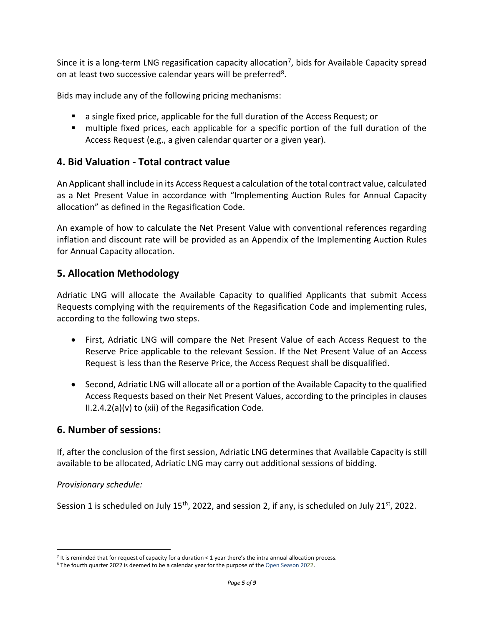Since it is a long-term LNG regasification capacity allocation<sup>7</sup>, bids for Available Capacity spread on at least two successive calendar years will be preferred<sup>8</sup>.

Bids may include any of the following pricing mechanisms:

- a single fixed price, applicable for the full duration of the Access Request; or
- multiple fixed prices, each applicable for a specific portion of the full duration of the Access Request (e.g., a given calendar quarter or a given year).

# **4. Bid Valuation - Total contract value**

An Applicant shall include in its Access Request a calculation of the total contract value, calculated as a Net Present Value in accordance with "Implementing Auction Rules for Annual Capacity allocation" as defined in the Regasification Code.

An example of how to calculate the Net Present Value with conventional references regarding inflation and discount rate will be provided as an Appendix of the Implementing Auction Rules for Annual Capacity allocation.

# **5. Allocation Methodology**

Adriatic LNG will allocate the Available Capacity to qualified Applicants that submit Access Requests complying with the requirements of the Regasification Code and implementing rules, according to the following two steps.

- First, Adriatic LNG will compare the Net Present Value of each Access Request to the Reserve Price applicable to the relevant Session. If the Net Present Value of an Access Request is less than the Reserve Price, the Access Request shall be disqualified.
- Second, Adriatic LNG will allocate all or a portion of the Available Capacity to the qualified Access Requests based on their Net Present Values, according to the principles in clauses II.2.4.2(a)(v) to (xii) of the Regasification Code.

# **6. Number of sessions:**

If, after the conclusion of the first session, Adriatic LNG determines that Available Capacity is still available to be allocated, Adriatic LNG may carry out additional sessions of bidding.

#### *Provisionary schedule:*

Session 1 is scheduled on July 15<sup>th</sup>, 2022, and session 2, if any, is scheduled on July 21<sup>st</sup>, 2022.

<sup>7</sup> It is reminded that for request of capacity for a duration < 1 year there's the intra annual allocation process.

<sup>8</sup> The fourth quarter 2022 is deemed to be a calendar year for the purpose of the Open Season 2022.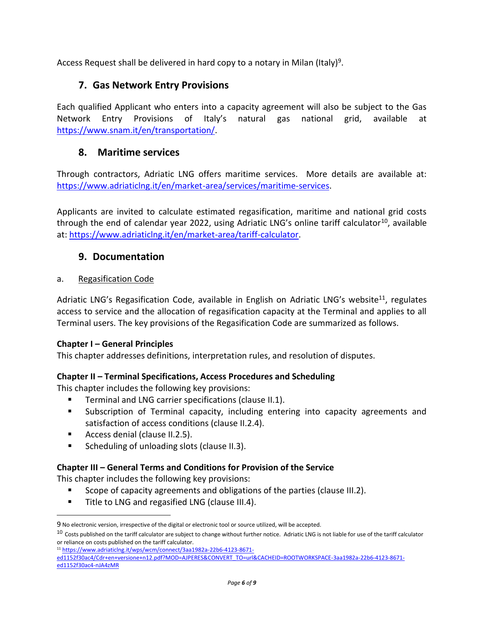Access Request shall be delivered in hard copy to a notary in Milan (Italy)<sup>9</sup>.

# **7. Gas Network Entry Provisions**

Each qualified Applicant who enters into a capacity agreement will also be subject to the Gas Network Entry Provisions of Italy's natural gas national grid, available at [https://www.snam.it/en/transportation/.](https://www.snam.it/en/transportation/)

## **8. Maritime services**

Through contractors, Adriatic LNG offers maritime services. More details are available at: [https://www.adriaticlng.it/en/market-area/services/maritime-services.](https://www.adriaticlng.it/en/market-area/services/maritime-services)

Applicants are invited to calculate estimated regasification, maritime and national grid costs through the end of calendar year 2022, using Adriatic LNG's online tariff calculator<sup>10</sup>, available at[: https://www.adriaticlng.it/en/market-area/tariff-calculator.](https://www.adriaticlng.it/en/market-area/tariff-calculator)

# **9. Documentation**

#### a. Regasification Code

Adriatic LNG's Regasification Code, available in English on Adriatic LNG's website<sup>11</sup>, regulates access to service and the allocation of regasification capacity at the Terminal and applies to all Terminal users. The key provisions of the Regasification Code are summarized as follows.

#### **Chapter I – General Principles**

This chapter addresses definitions, interpretation rules, and resolution of disputes.

#### **Chapter II – Terminal Specifications, Access Procedures and Scheduling**

This chapter includes the following key provisions:

- Terminal and LNG carrier specifications (clause II.1).
- Subscription of Terminal capacity, including entering into capacity agreements and satisfaction of access conditions (clause II.2.4).
- Access denial (clause II.2.5).
- Scheduling of unloading slots (clause II.3).

#### **Chapter III – General Terms and Conditions for Provision of the Service**

This chapter includes the following key provisions:

- Scope of capacity agreements and obligations of the parties (clause III.2).
- Title to LNG and regasified LNG (clause III.4).

<sup>11</sup> [https://www.adriaticlng.it/wps/wcm/connect/3aa1982a-22b6-4123-8671-](https://www.adriaticlng.it/wps/wcm/connect/3aa1982a-22b6-4123-8671-ed1152f30ac4/Cdr+en+versione+n12.pdf?MOD=AJPERES&CONVERT_TO=url&CACHEID=ROOTWORKSPACE-3aa1982a-22b6-4123-8671-ed1152f30ac4-nJA4zMR)

[ed1152f30ac4/Cdr+en+versione+n12.pdf?MOD=AJPERES&CONVERT\\_TO=url&CACHEID=ROOTWORKSPACE-3aa1982a-22b6-4123-8671](https://www.adriaticlng.it/wps/wcm/connect/3aa1982a-22b6-4123-8671-ed1152f30ac4/Cdr+en+versione+n12.pdf?MOD=AJPERES&CONVERT_TO=url&CACHEID=ROOTWORKSPACE-3aa1982a-22b6-4123-8671-ed1152f30ac4-nJA4zMR) [ed1152f30ac4-nJA4zMR](https://www.adriaticlng.it/wps/wcm/connect/3aa1982a-22b6-4123-8671-ed1152f30ac4/Cdr+en+versione+n12.pdf?MOD=AJPERES&CONVERT_TO=url&CACHEID=ROOTWORKSPACE-3aa1982a-22b6-4123-8671-ed1152f30ac4-nJA4zMR)

<sup>9</sup> No electronic version, irrespective of the digital or electronic tool or source utilized, will be accepted.

<sup>&</sup>lt;sup>10</sup> Costs published on the tariff calculator are subject to change without further notice. Adriatic LNG is not liable for use of the tariff calculator or reliance on costs published on the tariff calculator.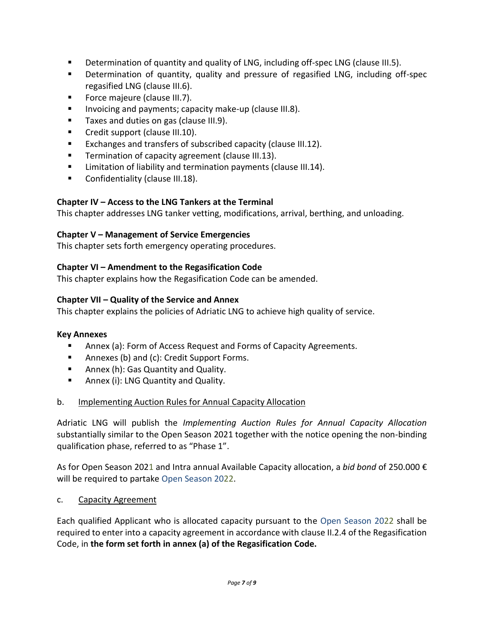- Determination of quantity and quality of LNG, including off-spec LNG (clause III.5).
- Determination of quantity, quality and pressure of regasified LNG, including off-spec regasified LNG (clause III.6).
- Force majeure (clause III.7).
- Invoicing and payments; capacity make-up (clause III.8).
- Taxes and duties on gas (clause III.9).
- Credit support (clause III.10).
- Exchanges and transfers of subscribed capacity (clause III.12).
- Termination of capacity agreement (clause III.13).
- Limitation of liability and termination payments (clause III.14).
- Confidentiality (clause III.18).

### **Chapter IV – Access to the LNG Tankers at the Terminal**

This chapter addresses LNG tanker vetting, modifications, arrival, berthing, and unloading.

#### **Chapter V – Management of Service Emergencies**

This chapter sets forth emergency operating procedures.

#### **Chapter VI – Amendment to the Regasification Code**

This chapter explains how the Regasification Code can be amended.

#### **Chapter VII – Quality of the Service and Annex**

This chapter explains the policies of Adriatic LNG to achieve high quality of service.

#### **Key Annexes**

- Annex (a): Form of Access Request and Forms of Capacity Agreements.
- Annexes (b) and (c): Credit Support Forms.
- Annex (h): Gas Quantity and Quality.
- Annex (i): LNG Quantity and Quality.

#### b. Implementing Auction Rules for Annual Capacity Allocation

Adriatic LNG will publish the *Implementing Auction Rules for Annual Capacity Allocation* substantially similar to the Open Season 2021 together with the notice opening the non-binding qualification phase, referred to as "Phase 1".

As for Open Season 2021 and Intra annual Available Capacity allocation, a *bid bond* of 250.000 € will be required to partake Open Season 2022.

#### c. Capacity Agreement

Each qualified Applicant who is allocated capacity pursuant to the Open Season 2022 shall be required to enter into a capacity agreement in accordance with clause II.2.4 of the Regasification Code, in **the form set forth in annex (a) of the Regasification Code.**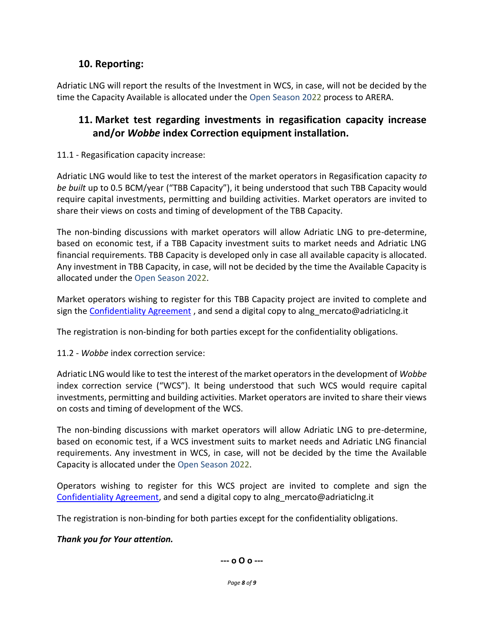# **10. Reporting:**

Adriatic LNG will report the results of the Investment in WCS, in case, will not be decided by the time the Capacity Available is allocated under the Open Season 2022 process to ARERA.

# **11. Market test regarding investments in regasification capacity increase and/or** *Wobbe* **index Correction equipment installation.**

11.1 - Regasification capacity increase:

Adriatic LNG would like to test the interest of the market operators in Regasification capacity *to be built* up to 0.5 BCM/year ("TBB Capacity"), it being understood that such TBB Capacity would require capital investments, permitting and building activities. Market operators are invited to share their views on costs and timing of development of the TBB Capacity.

The non-binding discussions with market operators will allow Adriatic LNG to pre-determine, based on economic test, if a TBB Capacity investment suits to market needs and Adriatic LNG financial requirements. TBB Capacity is developed only in case all available capacity is allocated. Any investment in TBB Capacity, in case, will not be decided by the time the Available Capacity is allocated under the Open Season 2022.

Market operators wishing to register for this TBB Capacity project are invited to complete and sign the **Confidentiality Agreement**, and send a digital copy to alng mercato@adriaticlng.it

The registration is non-binding for both parties except for the confidentiality obligations.

11.2 - *Wobbe* index correction service:

Adriatic LNG would like to test the interest of the market operatorsin the development of *Wobbe* index correction service ("WCS"). It being understood that such WCS would require capital investments, permitting and building activities. Market operators are invited to share their views on costs and timing of development of the WCS.

The non-binding discussions with market operators will allow Adriatic LNG to pre-determine, based on economic test, if a WCS investment suits to market needs and Adriatic LNG financial requirements. Any investment in WCS, in case, will not be decided by the time the Available Capacity is allocated under the Open Season 2022.

Operators wishing to register for this WCS project are invited to complete and sign the [Confidentiality Agreement,](https://www.adriaticlng.it/wps/wcm/connect/55cb7cc6-b3e8-4673-adb6-196081ac5df6/WCS+Confidentiality+Agreement.docx?MOD=AJPERES&CVID=n-SYuAa) and send a digital copy to alng\_mercato@adriaticlng.it

The registration is non-binding for both parties except for the confidentiality obligations.

# *Thank you for Your attention.*

**--- o O o ---**